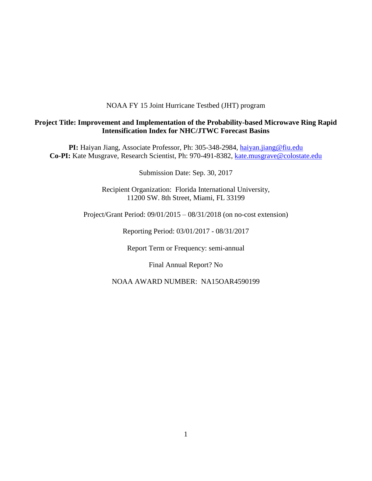## NOAA FY 15 Joint Hurricane Testbed (JHT) program

## **Project Title: Improvement and Implementation of the Probability-based Microwave Ring Rapid Intensification Index for NHC/JTWC Forecast Basins**

**PI:** Haiyan Jiang, Associate Professor, Ph: 305-348-2984, [haiyan.jiang@fiu.edu](mailto:h.jiang@utah.edu) Co-PI: Kate Musgrave, Research Scientist, Ph: 970-491-8382, [kate.musgrave@colostate.edu](mailto:kate.musgrave@colostate.edu)

Submission Date: Sep. 30, 2017

Recipient Organization: Florida International University, 11200 SW. 8th Street, Miami, FL 33199

Project/Grant Period: 09/01/2015 – 08/31/2018 (on no-cost extension)

Reporting Period: 03/01/2017 - 08/31/2017

Report Term or Frequency: semi-annual

Final Annual Report? No

NOAA AWARD NUMBER: NA15OAR4590199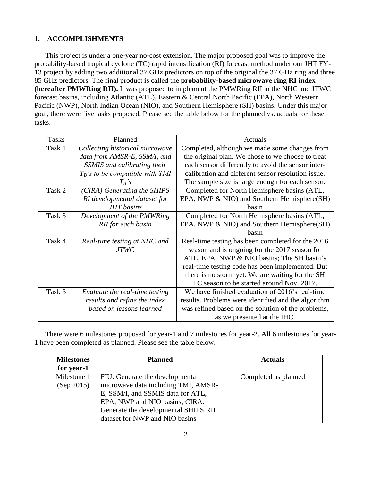# **1. ACCOMPLISHMENTS**

This project is under a one-year no-cost extension. The major proposed goal was to improve the probability-based tropical cyclone (TC) rapid intensification (RI) forecast method under our JHT FY-13 project by adding two additional 37 GHz predictors on top of the original the 37 GHz ring and three 85 GHz predictors. The final product is called the **probability-based microwave ring RI index (hereafter PMWRing RII).** It was proposed to implement the PMWRing RII in the NHC and JTWC forecast basins, including Atlantic (ATL), Eastern & Central North Pacific (EPA), North Western Pacific (NWP), North Indian Ocean (NIO), and Southern Hemisphere (SH) basins. Under this major goal, there were five tasks proposed. Please see the table below for the planned vs. actuals for these tasks.

| <b>Tasks</b> | Planned                            | Actuals                                             |
|--------------|------------------------------------|-----------------------------------------------------|
| Task 1       | Collecting historical microwave    | Completed, although we made some changes from       |
|              | data from AMSR-E, SSM/I, and       | the original plan. We chose to we choose to treat   |
|              | SSMIS and calibrating their        | each sensor differently to avoid the sensor inter-  |
|              | $T_B$ 's to be compatible with TMI | calibration and different sensor resolution issue.  |
|              | $T_R$ 's                           | The sample size is large enough for each sensor.    |
| Task 2       | (CIRA) Generating the SHIPS        | Completed for North Hemisphere basins (ATL,         |
|              | RI developmental dataset for       | EPA, NWP & NIO) and Southern Hemisphere(SH)         |
|              | <b>JHT</b> basins                  | hasin                                               |
| Task 3       | Development of the PMWRing         | Completed for North Hemisphere basins (ATL,         |
|              | RII for each basin                 | EPA, NWP & NIO) and Southern Hemisphere(SH)         |
|              |                                    | basin                                               |
| Task 4       | Real-time testing at NHC and       | Real-time testing has been completed for the 2016   |
|              | <b>JTWC</b>                        | season and is ongoing for the 2017 season for       |
|              |                                    | ATL, EPA, NWP & NIO basins; The SH basin's          |
|              |                                    | real-time testing code has been implemented. But    |
|              |                                    | there is no storm yet. We are waiting for the SH    |
|              |                                    | TC season to be started around Nov. 2017.           |
| Task 5       | Evaluate the real-time testing     | We have finished evaluation of 2016's real-time     |
|              | results and refine the index       | results. Problems were identified and the algorithm |
|              | based on lessons learned           | was refined based on the solution of the problems,  |
|              |                                    | as we presented at the IHC.                         |

There were 6 milestones proposed for year-1 and 7 milestones for year-2. All 6 milestones for year-1 have been completed as planned. Please see the table below.

| <b>Milestones</b> | <b>Planned</b>                       | <b>Actuals</b>       |
|-------------------|--------------------------------------|----------------------|
| for year-1        |                                      |                      |
| Milestone 1       | FIU: Generate the developmental      | Completed as planned |
| (Sep 2015)        | microwave data including TMI, AMSR-  |                      |
|                   | E, SSM/I, and SSMIS data for ATL,    |                      |
|                   | EPA, NWP and NIO basins; CIRA:       |                      |
|                   | Generate the developmental SHIPS RII |                      |
|                   | dataset for NWP and NIO basins       |                      |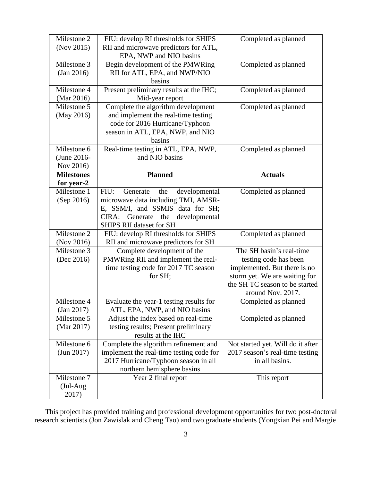| Milestone 2       | FIU: develop RI thresholds for SHIPS     | Completed as planned              |
|-------------------|------------------------------------------|-----------------------------------|
| (Nov 2015)        | RII and microwave predictors for ATL,    |                                   |
|                   | EPA, NWP and NIO basins                  |                                   |
| Milestone 3       | Begin development of the PMWRing         | Completed as planned              |
| (Jan 2016)        | RII for ATL, EPA, and NWP/NIO            |                                   |
|                   | basins                                   |                                   |
| Milestone 4       | Present preliminary results at the IHC;  | Completed as planned              |
| (Mar 2016)        | Mid-year report                          |                                   |
| Milestone 5       | Complete the algorithm development       | Completed as planned              |
| (May 2016)        | and implement the real-time testing      |                                   |
|                   | code for 2016 Hurricane/Typhoon          |                                   |
|                   | season in ATL, EPA, NWP, and NIO         |                                   |
|                   | basins                                   |                                   |
| Milestone 6       | Real-time testing in ATL, EPA, NWP,      | Completed as planned              |
| (June 2016-       | and NIO basins                           |                                   |
| Nov 2016)         |                                          |                                   |
| <b>Milestones</b> | <b>Planned</b>                           | <b>Actuals</b>                    |
| for year-2        |                                          |                                   |
| Milestone 1       | FIU:<br>the<br>developmental<br>Generate | Completed as planned              |
| (Sep 2016)        | microwave data including TMI, AMSR-      |                                   |
|                   | E, SSM/I, and SSMIS data for SH;         |                                   |
|                   | CIRA: Generate the<br>developmental      |                                   |
|                   | <b>SHIPS RII dataset for SH</b>          |                                   |
| Milestone 2       | FIU: develop RI thresholds for SHIPS     | Completed as planned              |
| (Nov 2016)        | RII and microwave predictors for SH      |                                   |
| Milestone 3       | Complete development of the              | The SH basin's real-time          |
| (Dec 2016)        | PMWRing RII and implement the real-      | testing code has been             |
|                   | time testing code for 2017 TC season     | implemented. But there is no      |
|                   | for SH;                                  | storm yet. We are waiting for     |
|                   |                                          | the SH TC season to be started    |
|                   |                                          | around Nov. 2017.                 |
| Milestone 4       | Evaluate the year-1 testing results for  | Completed as planned              |
| (Jan 2017)        | ATL, EPA, NWP, and NIO basins            |                                   |
| Milestone 5       | Adjust the index based on real-time      | Completed as planned              |
| (Mar 2017)        | testing results; Present preliminary     |                                   |
|                   | results at the IHC                       |                                   |
| Milestone 6       | Complete the algorithm refinement and    | Not started yet. Will do it after |
| (Jun 2017)        | implement the real-time testing code for | 2017 season's real-time testing   |
|                   | 2017 Hurricane/Typhoon season in all     | in all basins.                    |
|                   | northern hemisphere basins               |                                   |
|                   |                                          |                                   |
| Milestone 7       | Year 2 final report                      | This report                       |
| $(Jul-Aug)$       |                                          |                                   |

This project has provided training and professional development opportunities for two post-doctoral research scientists (Jon Zawislak and Cheng Tao) and two graduate students (Yongxian Pei and Margie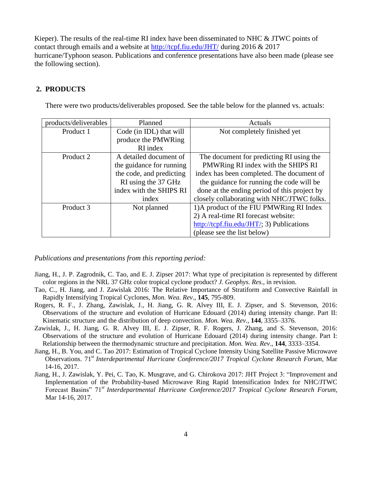Kieper). The results of the real-time RI index have been disseminated to NHC  $\&$  JTWC points of contact through emails and a website at<http://tcpf.fiu.edu/JHT/> during 2016 & 2017 hurricane/Typhoon season. Publications and conference presentations have also been made (please see the following section).

## **2. PRODUCTS**

There were two products/deliverables proposed. See the table below for the planned vs. actuals:

| products/deliverables | Planned                  | Actuals                                                                      |
|-----------------------|--------------------------|------------------------------------------------------------------------------|
| Product 1             | Code (in IDL) that will  | Not completely finished yet                                                  |
|                       | produce the PMWRing      |                                                                              |
|                       | RI index                 |                                                                              |
| Product 2             | A detailed document of   | The document for predicting RI using the                                     |
|                       | the guidance for running | PMWRing RI index with the SHIPS RI                                           |
|                       | the code, and predicting | index has been completed. The document of                                    |
|                       | RI using the 37 GHz      | the guidance for running the code will be                                    |
|                       | index with the SHIPS RI  | done at the ending period of this project by                                 |
|                       | index                    | closely collaborating with NHC/JTWC folks.                                   |
| Product 3             | Not planned              | 1) A product of the FIU PMWRing RI Index                                     |
|                       |                          | 2) A real-time RI forecast website:                                          |
|                       |                          | $\frac{http://tcpf.fiu.edu/JHT/3)}{http://tcpf.fiu.edu/JHT/3)}$ Publications |
|                       |                          | (please see the list below)                                                  |

*Publications and presentations from this reporting period:*

- Jiang, H., J. P. Zagrodnik, C. Tao, and E. J. Zipser 2017: What type of precipitation is represented by different color regions in the NRL 37 GHz color tropical cyclone product? *J. Geophys. Res.*, in revision.
- Tao, C., H. Jiang, and J. Zawislak 2016: The Relative Importance of Stratiform and Convective Rainfall in Rapidly Intensifying Tropical Cyclones, *Mon. Wea. Rev*., **145**, 795-809.
- Rogers, R. F., J. Zhang, Zawislak, J., H. Jiang, G. R. Alvey III, E. J. Zipser, and S. Stevenson, 2016: Observations of the structure and evolution of Hurricane Edouard (2014) during intensity change. Part II: Kinematic structure and the distribution of deep convection. *Mon. Wea. Rev*., **144**, 3355–3376.
- Zawislak, J., H. Jiang, G. R. Alvey III, E. J. Zipser, R. F. Rogers, J. Zhang, and S. Stevenson, 2016: Observations of the structure and evolution of Hurricane Edouard (2014) during intensity change. Part I: Relationship between the thermodynamic structure and precipitation. *Mon. Wea. Rev*., **144**, 3333–3354.
- Jiang, H., B. You, and C. Tao 2017: Estimation of Tropical Cyclone Intensity Using Satellite Passive Microwave Observations. 71 *st Interdepartmental Hurricane Conference/2017 Tropical Cyclone Research Forum*, Mar 14-16, 2017.
- Jiang, H., J. Zawislak, Y. Pei, C. Tao, K. Musgrave, and G. Chirokova 2017: JHT Project 3: "Improvement and Implementation of the Probability-based Microwave Ring Rapid Intensification Index for NHC/JTWC Forecast Basins" 71*st Interdepartmental Hurricane Conference/2017 Tropical Cyclone Research Forum*, Mar 14-16, 2017.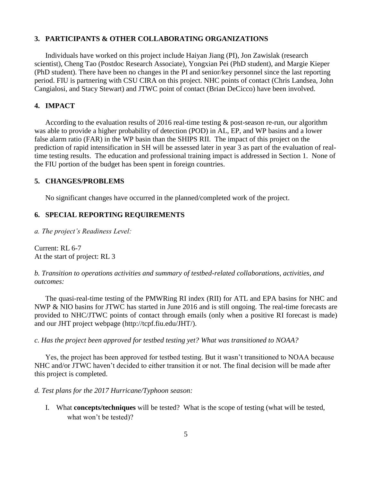#### **3. PARTICIPANTS & OTHER COLLABORATING ORGANIZATIONS**

Individuals have worked on this project include Haiyan Jiang (PI), Jon Zawislak (research scientist), Cheng Tao (Postdoc Research Associate), Yongxian Pei (PhD student), and Margie Kieper (PhD student). There have been no changes in the PI and senior/key personnel since the last reporting period. FIU is partnering with CSU CIRA on this project. NHC points of contact (Chris Landsea, John Cangialosi, and Stacy Stewart) and JTWC point of contact (Brian DeCicco) have been involved.

## **4. IMPACT**

According to the evaluation results of 2016 real-time testing & post-season re-run, our algorithm was able to provide a higher probability of detection (POD) in AL, EP, and WP basins and a lower false alarm ratio (FAR) in the WP basin than the SHIPS RII. The impact of this project on the prediction of rapid intensification in SH will be assessed later in year 3 as part of the evaluation of realtime testing results. The education and professional training impact is addressed in Section 1. None of the FIU portion of the budget has been spent in foreign countries.

#### **5. CHANGES/PROBLEMS**

No significant changes have occurred in the planned/completed work of the project.

### **6. SPECIAL REPORTING REQUIREMENTS**

*a. The project's Readiness Level:*

Current: RL 6-7 At the start of project: RL 3

*b. Transition to operations activities and summary of testbed-related collaborations, activities, and outcomes:* 

The quasi-real-time testing of the PMWRing RI index (RII) for ATL and EPA basins for NHC and NWP & NIO basins for JTWC has started in June 2016 and is still ongoing. The real-time forecasts are provided to NHC/JTWC points of contact through emails (only when a positive RI forecast is made) and our JHT project webpage (http://tcpf.fiu.edu/JHT/).

*c. Has the project been approved for testbed testing yet? What was transitioned to NOAA?*

Yes, the project has been approved for testbed testing. But it wasn't transitioned to NOAA because NHC and/or JTWC haven't decided to either transition it or not. The final decision will be made after this project is completed.

*d. Test plans for the 2017 Hurricane/Typhoon season:*

I. What **concepts/techniques** will be tested? What is the scope of testing (what will be tested, what won't be tested)?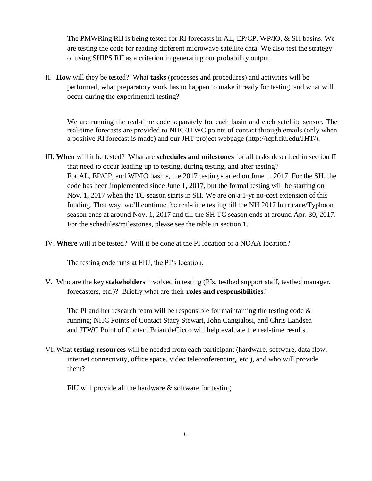The PMWRing RII is being tested for RI forecasts in AL, EP/CP, WP/IO, & SH basins. We are testing the code for reading different microwave satellite data. We also test the strategy of using SHIPS RII as a criterion in generating our probability output.

II. **How** will they be tested? What **tasks** (processes and procedures) and activities will be performed, what preparatory work has to happen to make it ready for testing, and what will occur during the experimental testing?

We are running the real-time code separately for each basin and each satellite sensor. The real-time forecasts are provided to NHC/JTWC points of contact through emails (only when a positive RI forecast is made) and our JHT project webpage (http://tcpf.fiu.edu/JHT/).

- III. **When** will it be tested? What are **schedules and milestones** for all tasks described in section II that need to occur leading up to testing, during testing, and after testing? For AL, EP/CP, and WP/IO basins, the 2017 testing started on June 1, 2017. For the SH, the code has been implemented since June 1, 2017, but the formal testing will be starting on Nov. 1, 2017 when the TC season starts in SH. We are on a 1-yr no-cost extension of this funding. That way, we'll continue the real-time testing till the NH 2017 hurricane/Typhoon season ends at around Nov. 1, 2017 and till the SH TC season ends at around Apr. 30, 2017. For the schedules/milestones, please see the table in section 1.
- IV. **Where** will it be tested? Will it be done at the PI location or a NOAA location?

The testing code runs at FIU, the PI's location.

V. Who are the key **stakeholders** involved in testing (PIs, testbed support staff, testbed manager, forecasters, etc.)? Briefly what are their **roles and responsibilities**?

The PI and her research team will be responsible for maintaining the testing code  $\&$ running; NHC Points of Contact Stacy Stewart, John Cangialosi, and Chris Landsea and JTWC Point of Contact Brian deCicco will help evaluate the real-time results.

VI. What **testing resources** will be needed from each participant (hardware, software, data flow, internet connectivity, office space, video teleconferencing, etc.), and who will provide them?

FIU will provide all the hardware & software for testing.